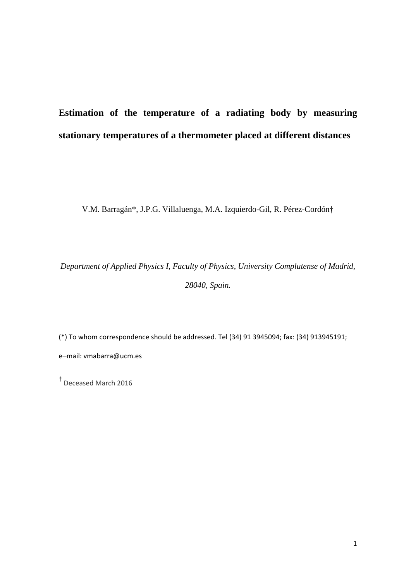# **Estimation of the temperature of a radiating body by measuring stationary temperatures of a thermometer placed at different distances**

V.M. Barragán\*, J.P.G. Villaluenga, M.A. Izquierdo-Gil, R. Pérez-Cordón†

*Department of Applied Physics I, Faculty of Physics, University Complutense of Madrid, 28040, Spain.* 

(\*) To whom correspondence should be addressed. Tel (34) 91 3945094; fax: (34) 913945191; email: vmabarra@ucm.es

† Deceased March 2016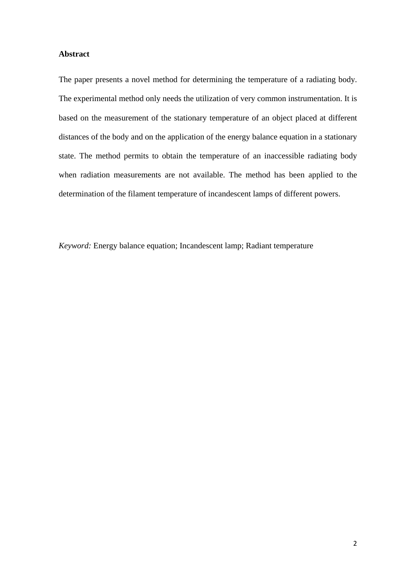# **Abstract**

The paper presents a novel method for determining the temperature of a radiating body. The experimental method only needs the utilization of very common instrumentation. It is based on the measurement of the stationary temperature of an object placed at different distances of the body and on the application of the energy balance equation in a stationary state. The method permits to obtain the temperature of an inaccessible radiating body when radiation measurements are not available. The method has been applied to the determination of the filament temperature of incandescent lamps of different powers.

*Keyword:* Energy balance equation; Incandescent lamp; Radiant temperature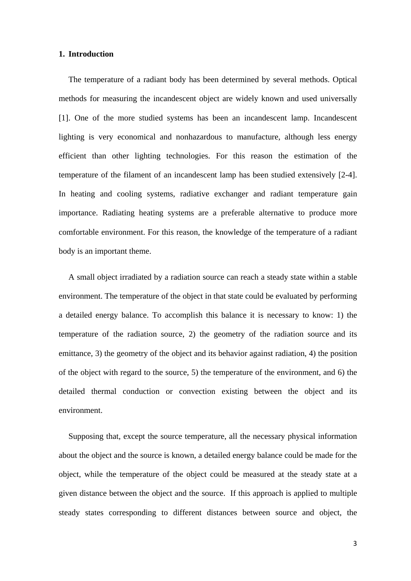#### **1. Introduction**

The temperature of a radiant body has been determined by several methods. Optical methods for measuring the incandescent object are widely known and used universally [1]. One of the more studied systems has been an incandescent lamp. Incandescent lighting is very economical and nonhazardous to manufacture, although less energy efficient than other lighting technologies. For this reason the estimation of the temperature of the filament of an incandescent lamp has been studied extensively [2-4]. In heating and cooling systems, radiative exchanger and radiant temperature gain importance. Radiating heating systems are a preferable alternative to produce more comfortable environment. For this reason, the knowledge of the temperature of a radiant body is an important theme.

A small object irradiated by a radiation source can reach a steady state within a stable environment. The temperature of the object in that state could be evaluated by performing a detailed energy balance. To accomplish this balance it is necessary to know: 1) the temperature of the radiation source, 2) the geometry of the radiation source and its emittance, 3) the geometry of the object and its behavior against radiation, 4) the position of the object with regard to the source, 5) the temperature of the environment, and 6) the detailed thermal conduction or convection existing between the object and its environment.

Supposing that, except the source temperature, all the necessary physical information about the object and the source is known, a detailed energy balance could be made for the object, while the temperature of the object could be measured at the steady state at a given distance between the object and the source. If this approach is applied to multiple steady states corresponding to different distances between source and object, the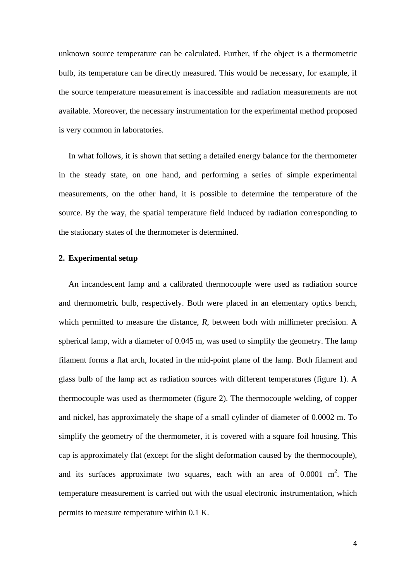unknown source temperature can be calculated. Further, if the object is a thermometric bulb, its temperature can be directly measured. This would be necessary, for example, if the source temperature measurement is inaccessible and radiation measurements are not available. Moreover, the necessary instrumentation for the experimental method proposed is very common in laboratories.

In what follows, it is shown that setting a detailed energy balance for the thermometer in the steady state, on one hand, and performing a series of simple experimental measurements, on the other hand, it is possible to determine the temperature of the source. By the way, the spatial temperature field induced by radiation corresponding to the stationary states of the thermometer is determined.

## **2. Experimental setup**

An incandescent lamp and a calibrated thermocouple were used as radiation source and thermometric bulb, respectively. Both were placed in an elementary optics bench, which permitted to measure the distance, *R*, between both with millimeter precision. A spherical lamp, with a diameter of 0.045 m, was used to simplify the geometry. The lamp filament forms a flat arch, located in the mid-point plane of the lamp. Both filament and glass bulb of the lamp act as radiation sources with different temperatures (figure 1). A thermocouple was used as thermometer (figure 2). The thermocouple welding, of copper and nickel, has approximately the shape of a small cylinder of diameter of 0.0002 m. To simplify the geometry of the thermometer, it is covered with a square foil housing. This cap is approximately flat (except for the slight deformation caused by the thermocouple), and its surfaces approximate two squares, each with an area of  $0.0001 \text{ m}^2$ . The temperature measurement is carried out with the usual electronic instrumentation, which permits to measure temperature within 0.1 K.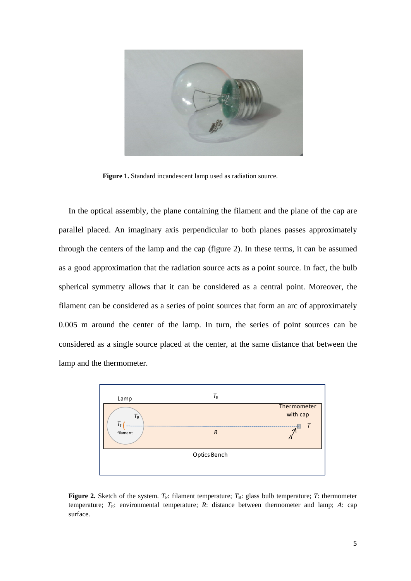

**Figure 1.** Standard incandescent lamp used as radiation source.

In the optical assembly, the plane containing the filament and the plane of the cap are parallel placed. An imaginary axis perpendicular to both planes passes approximately through the centers of the lamp and the cap (figure 2). In these terms, it can be assumed as a good approximation that the radiation source acts as a point source. In fact, the bulb spherical symmetry allows that it can be considered as a central point. Moreover, the filament can be considered as a series of point sources that form an arc of approximately 0.005 m around the center of the lamp. In turn, the series of point sources can be considered as a single source placed at the center, at the same distance that between the lamp and the thermometer.



**Figure 2.** Sketch of the system.  $T_F$ : filament temperature;  $T_B$ : glass bulb temperature; *T*: thermometer temperature;  $T_E$ : environmental temperature;  $R$ : distance between thermometer and lamp;  $A$ : cap surface.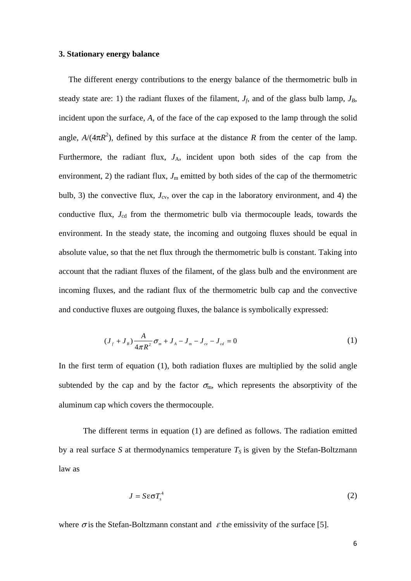#### **3. Stationary energy balance**

The different energy contributions to the energy balance of the thermometric bulb in steady state are: 1) the radiant fluxes of the filament,  $J_f$ , and of the glass bulb lamp,  $J_B$ , incident upon the surface, *A*, of the face of the cap exposed to the lamp through the solid angle,  $A/(4\pi R^2)$ , defined by this surface at the distance *R* from the center of the lamp. Furthermore, the radiant flux,  $J_A$ , incident upon both sides of the cap from the environment, 2) the radiant flux,  $J_m$  emitted by both sides of the cap of the thermometric bulb, 3) the convective flux,  $J_{\rm cv}$ , over the cap in the laboratory environment, and 4) the conductive flux,  $J_{cd}$  from the thermometric bulb via thermocouple leads, towards the environment. In the steady state, the incoming and outgoing fluxes should be equal in absolute value, so that the net flux through the thermometric bulb is constant. Taking into account that the radiant fluxes of the filament, of the glass bulb and the environment are incoming fluxes, and the radiant flux of the thermometric bulb cap and the convective and conductive fluxes are outgoing fluxes, the balance is symbolically expressed:

$$
(J_f + J_B) \frac{A}{4\pi R^2} \sigma_m + J_A - J_m - J_{cv} - J_{cd} = 0
$$
 (1)

In the first term of equation (1), both radiation fluxes are multiplied by the solid angle subtended by the cap and by the factor  $\sigma_{m}$ , which represents the absorptivity of the aluminum cap which covers the thermocouple.

 The different terms in equation (1) are defined as follows. The radiation emitted by a real surface *S* at thermodynamics temperature  $T<sub>S</sub>$  is given by the Stefan-Boltzmann law as

$$
J = S \varepsilon \sigma T_s^4 \tag{2}
$$

where  $\sigma$  is the Stefan-Boltzmann constant and  $\varepsilon$  the emissivity of the surface [5].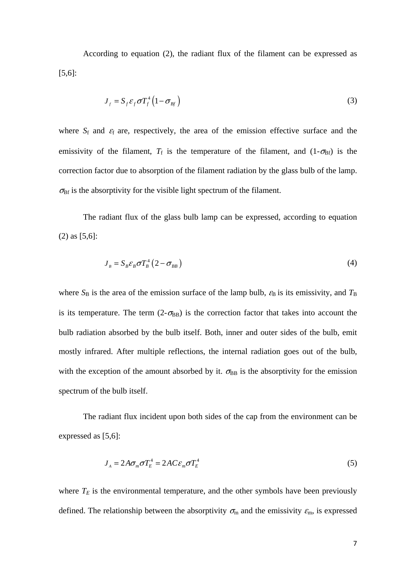According to equation (2), the radiant flux of the filament can be expressed as [5,6]:

$$
J_f = S_f \varepsilon_f \sigma T_f^4 \left( 1 - \sigma_{Bf} \right) \tag{3}
$$

where  $S_f$  and  $\varepsilon_f$  are, respectively, the area of the emission effective surface and the emissivity of the filament,  $T_f$  is the temperature of the filament, and  $(1-\sigma_{\text{Bf}})$  is the correction factor due to absorption of the filament radiation by the glass bulb of the lamp.  $\sigma_{\text{Bf}}$  is the absorptivity for the visible light spectrum of the filament.

 The radiant flux of the glass bulb lamp can be expressed, according to equation (2) as [5,6]:

$$
J_{B} = S_{B} \varepsilon_{B} \sigma T_{B}^{4} (2 - \sigma_{BB})
$$
 (4)

where  $S_B$  is the area of the emission surface of the lamp bulb,  $\varepsilon_B$  is its emissivity, and  $T_B$ is its temperature. The term  $(2-\sigma_{BB})$  is the correction factor that takes into account the bulb radiation absorbed by the bulb itself. Both, inner and outer sides of the bulb, emit mostly infrared. After multiple reflections, the internal radiation goes out of the bulb, with the exception of the amount absorbed by it.  $\sigma_{BB}$  is the absorptivity for the emission spectrum of the bulb itself.

 The radiant flux incident upon both sides of the cap from the environment can be expressed as [5,6]:

$$
J_A = 2A\sigma_m \sigma T_E^4 = 2AC\varepsilon_m \sigma T_E^4 \tag{5}
$$

where  $T_E$  is the environmental temperature, and the other symbols have been previously defined. The relationship between the absorptivity  $\sigma_{\rm m}$  and the emissivity  $\varepsilon_{\rm m}$ , is expressed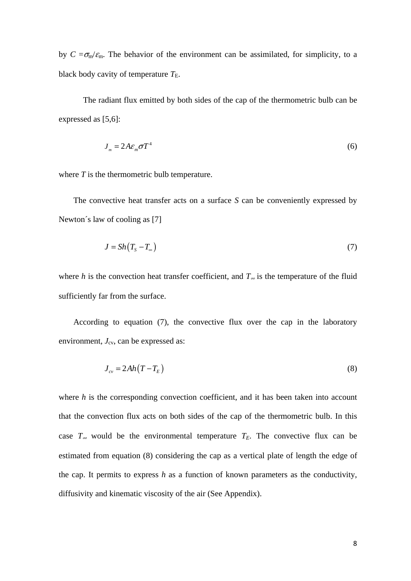by  $C = \sigma_{\rm m}/\epsilon_{\rm m}$ . The behavior of the environment can be assimilated, for simplicity, to a black body cavity of temperature  $T_{\text{E}}$ .

The radiant flux emitted by both sides of the cap of the thermometric bulb can be expressed as [5,6]:

$$
J_m = 2A\varepsilon_m \sigma T^4 \tag{6}
$$

where *T* is the thermometric bulb temperature.

 The convective heat transfer acts on a surface *S* can be conveniently expressed by Newton's law of cooling as [7]

$$
J = Sh(T_s - T_\infty) \tag{7}
$$

where *h* is the convection heat transfer coefficient, and  $T_{\infty}$  is the temperature of the fluid sufficiently far from the surface.

 According to equation (7), the convective flux over the cap in the laboratory environment,  $J_{\rm cv}$ , can be expressed as:

$$
J_{cv} = 2Ah(T - T_E) \tag{8}
$$

where *h* is the corresponding convection coefficient, and it has been taken into account that the convection flux acts on both sides of the cap of the thermometric bulb. In this case  $T_{\infty}$  would be the environmental temperature  $T_E$ . The convective flux can be estimated from equation (8) considering the cap as a vertical plate of length the edge of the cap. It permits to express *h* as a function of known parameters as the conductivity, diffusivity and kinematic viscosity of the air (See Appendix).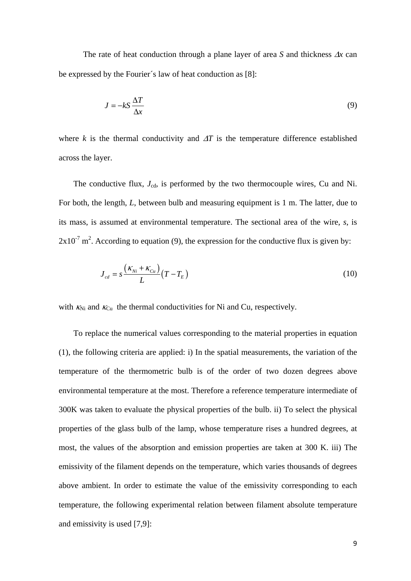The rate of heat conduction through a plane layer of area *S* and thickness  $\Delta x$  can be expressed by the Fourier´s law of heat conduction as [8]:

$$
J = -kS \frac{\Delta T}{\Delta x} \tag{9}
$$

where  $k$  is the thermal conductivity and  $\Delta T$  is the temperature difference established across the layer.

The conductive flux,  $J_{cd}$ , is performed by the two thermocouple wires, Cu and Ni. For both, the length, *L*, between bulb and measuring equipment is 1 m. The latter, due to its mass, is assumed at environmental temperature. The sectional area of the wire, *s*, is  $2x10<sup>-7</sup>$  m<sup>2</sup>. According to equation (9), the expression for the conductive flux is given by:

$$
J_{cd} = s \frac{\left(\kappa_{Ni} + \kappa_{Cu}\right)}{L} \left(T - T_E\right) \tag{10}
$$

with  $K_{Ni}$  and  $K_{Cu}$  the thermal conductivities for Ni and Cu, respectively.

To replace the numerical values corresponding to the material properties in equation (1), the following criteria are applied: i) In the spatial measurements, the variation of the temperature of the thermometric bulb is of the order of two dozen degrees above environmental temperature at the most. Therefore a reference temperature intermediate of 300K was taken to evaluate the physical properties of the bulb. ii) To select the physical properties of the glass bulb of the lamp, whose temperature rises a hundred degrees, at most, the values of the absorption and emission properties are taken at 300 K. iii) The emissivity of the filament depends on the temperature, which varies thousands of degrees above ambient. In order to estimate the value of the emissivity corresponding to each temperature, the following experimental relation between filament absolute temperature and emissivity is used [7,9]: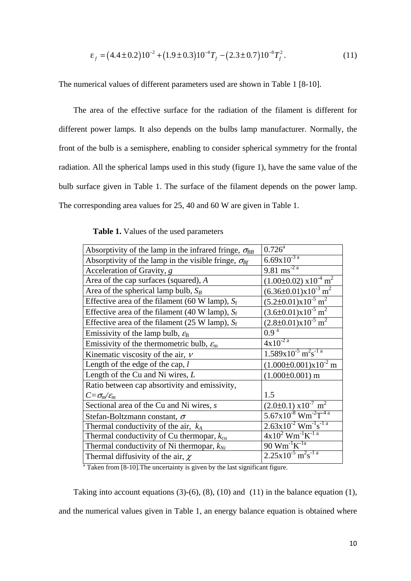$$
\varepsilon_f = (4.4 \pm 0.2) 10^{-2} + (1.9 \pm 0.3) 10^{-4} T_f - (2.3 \pm 0.7) 10^{-8} T_f^2. \tag{11}
$$

The numerical values of different parameters used are shown in Table 1 [8-10].

The area of the effective surface for the radiation of the filament is different for different power lamps. It also depends on the bulbs lamp manufacturer. Normally, the front of the bulb is a semisphere, enabling to consider spherical symmetry for the frontal radiation. All the spherical lamps used in this study (figure 1), have the same value of the bulb surface given in Table 1. The surface of the filament depends on the power lamp. The corresponding area values for 25, 40 and 60 W are given in Table 1.

**Table 1.** Values of the used parameters

| Absorptivity of the lamp in the infrared fringe, $\sigma_{BB}$       | $0.726^{\text{a}}$                                       |
|----------------------------------------------------------------------|----------------------------------------------------------|
| Absorptivity of the lamp in the visible fringe, $\sigma_{\text{Bf}}$ | $6.69x10^{-3}$ <sup>a</sup>                              |
| Acceleration of Gravity, g                                           | $9.81 \text{ ms}^{-2}$ <sup>a</sup>                      |
| Area of the cap surfaces (squared), A                                | $(1.00\pm0.02)$ x10 <sup>-4</sup> m <sup>2</sup>         |
| Area of the spherical lamp bulb, $S_B$                               | $(6.36\pm0.01)x10^{-3}$ m <sup>2</sup>                   |
| Effective area of the filament (60 W lamp), $S_f$                    | $(5.2\pm0.01)x10^{-5}$ m <sup>2</sup>                    |
| Effective area of the filament (40 W lamp), $S_f$                    | $(3.6\pm0.01)x10^{-5}$ m <sup>2</sup>                    |
| Effective area of the filament (25 W lamp), $S_f$                    | $(2.8\pm0.01)x10^{-5}$ m <sup>2</sup>                    |
| Emissivity of the lamp bulb, $\varepsilon_{\text{B}}$                | 0.9 <sup>a</sup>                                         |
| Emissivity of the thermometric bulb, $\varepsilon_{\rm m}$           | $4x10^{-2}$ <sup>a</sup>                                 |
| Kinematic viscosity of the air, $\nu$                                | $1.589x10^{-5}$ m <sup>2</sup> s <sup>-1 a</sup>         |
| Length of the edge of the cap, $l$                                   | $(1.000\pm0.001)x10^{2}$ m                               |
| Length of the Cu and Ni wires, $L$                                   | $(1.000\pm0.001)$ m                                      |
| Ratio between cap absortivity and emissivity,                        |                                                          |
| $C = \sigma_m / \varepsilon_m$                                       | 1.5                                                      |
| Sectional area of the Cu and Ni wires, s                             | $(2.0\pm0.1) \times 10^{-7}$ m <sup>2</sup>              |
| Stefan-Boltzmann constant, $\sigma$                                  | $5.67 \times 10^{-8}$ Wm <sup>-2</sup> T <sup>-4 a</sup> |
| Thermal conductivity of the air, $k_A$                               | $2.63 \times 10^{-2}$ Wm <sup>-1</sup> s <sup>-1 a</sup> |
| Thermal conductivity of Cu thermopar, $k_{cu}$                       | $4x10^2$ Wm <sup>-1</sup> K <sup>-1 a</sup>              |
| Thermal conductivity of Ni thermopar, $k_{Ni}$                       | $90 \text{ Wm}^{-1}\text{K}^{-1}$ a                      |
| Thermal diffusivity of the air, $\chi$                               | $2.25x10^{-5}$ m <sup>2</sup> s <sup>-1 a</sup>          |
|                                                                      |                                                          |

<sup>a</sup> Taken from [8-10]. The uncertainty is given by the last significant figure.

Taking into account equations  $(3)-(6)$ ,  $(8)$ ,  $(10)$  and  $(11)$  in the balance equation  $(1)$ , and the numerical values given in Table 1, an energy balance equation is obtained where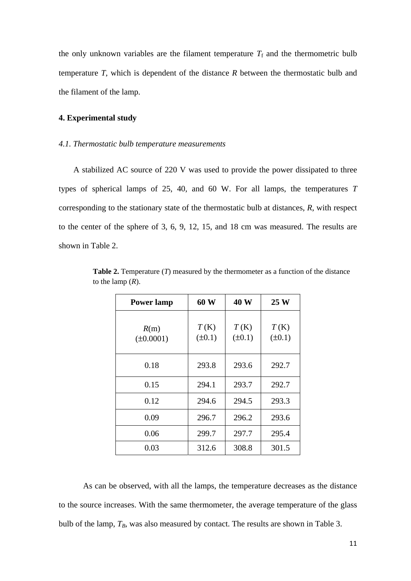the only unknown variables are the filament temperature  $T_f$  and the thermometric bulb temperature *T*, which is dependent of the distance *R* between the thermostatic bulb and the filament of the lamp.

# **4. Experimental study**

#### *4.1. Thermostatic bulb temperature measurements*

A stabilized AC source of 220 V was used to provide the power dissipated to three types of spherical lamps of 25, 40, and 60 W. For all lamps, the temperatures *T* corresponding to the stationary state of the thermostatic bulb at distances, *R*, with respect to the center of the sphere of 3, 6, 9, 12, 15, and 18 cm was measured. The results are shown in Table 2.

| <b>Power lamp</b>      | 60 W                | 40 W                | 25 W                |
|------------------------|---------------------|---------------------|---------------------|
| R(m)<br>$(\pm 0.0001)$ | T(K)<br>$(\pm 0.1)$ | T(K)<br>$(\pm 0.1)$ | T(K)<br>$(\pm 0.1)$ |
| 0.18                   | 293.8               | 293.6               | 292.7               |
| 0.15                   | 294.1               | 293.7               | 292.7               |
| 0.12                   | 294.6               | 294.5               | 293.3               |
| 0.09                   | 296.7               | 296.2               | 293.6               |
| 0.06                   | 299.7               | 297.7               | 295.4               |
| 0.03                   | 312.6               | 308.8               | 301.5               |

**Table 2.** Temperature (*T*) measured by the thermometer as a function of the distance to the lamp  $(R)$ .

As can be observed, with all the lamps, the temperature decreases as the distance to the source increases. With the same thermometer, the average temperature of the glass bulb of the lamp,  $T_B$ , was also measured by contact. The results are shown in Table 3.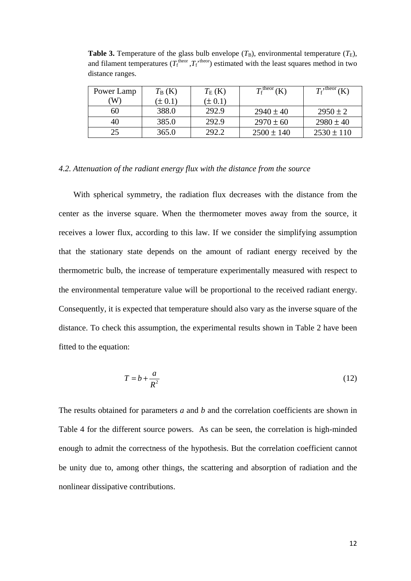| Power Lamp | $T_{\rm B}$ (K) | $T_{\rm E}$ (K) | $T_{\rm f}^{\rm theor}$ (K) | $T_f$ , theor<br>(K) |
|------------|-----------------|-----------------|-----------------------------|----------------------|
| W)         | $(\pm 0.1)$     | $(\pm 0.1)$     |                             |                      |
| 60         | 388.0           | 292.9           | $2940 \pm 40$               | $2950 \pm 2$         |
| 40         | 385.0           | 292.9           | $2970 \pm 60$               | $2980 \pm 40$        |
| 25         | 365.0           | 292.2           | $2500 \pm 140$              | $2530 \pm 110$       |

**Table 3.** Temperature of the glass bulb envelope  $(T_B)$ , environmental temperature  $(T_E)$ , and filament temperatures  $(T_f^{\text{theor}}, T_f^{\text{theor}})$  estimated with the least squares method in two distance ranges.

# *4.2. Attenuation of the radiant energy flux with the distance from the source*

With spherical symmetry, the radiation flux decreases with the distance from the center as the inverse square. When the thermometer moves away from the source, it receives a lower flux, according to this law. If we consider the simplifying assumption that the stationary state depends on the amount of radiant energy received by the thermometric bulb, the increase of temperature experimentally measured with respect to the environmental temperature value will be proportional to the received radiant energy. Consequently, it is expected that temperature should also vary as the inverse square of the distance. To check this assumption, the experimental results shown in Table 2 have been fitted to the equation:

$$
T = b + \frac{a}{R^2} \tag{12}
$$

The results obtained for parameters *a* and *b* and the correlation coefficients are shown in Table 4 for the different source powers. As can be seen, the correlation is high-minded enough to admit the correctness of the hypothesis. But the correlation coefficient cannot be unity due to, among other things, the scattering and absorption of radiation and the nonlinear dissipative contributions.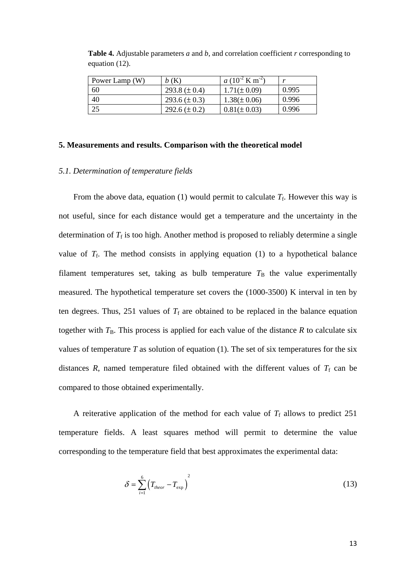| Power Lamp (W) | b(K)              | $a(10^{-2} \text{ K m}^{-2})$ | $\mathbf{z}$ |
|----------------|-------------------|-------------------------------|--------------|
| 60             | 293.8 $(\pm 0.4)$ | $1.71(\pm 0.09)$              | 0.995        |
| 40             | 293.6 $(\pm 0.3)$ | $1.38(\pm 0.06)$              | 0.996        |
| 25             | 292.6 $(\pm 0.2)$ | $0.81(\pm 0.03)$              | 0.996        |

**Table 4.** Adjustable parameters *a* and *b*, and correlation coefficient *r* corresponding to equation (12).

#### **5. Measurements and results. Comparison with the theoretical model**

# *5.1. Determination of temperature fields*

From the above data, equation (1) would permit to calculate  $T_f$ . However this way is not useful, since for each distance would get a temperature and the uncertainty in the determination of  $T_f$  is too high. Another method is proposed to reliably determine a single value of  $T_f$ . The method consists in applying equation (1) to a hypothetical balance filament temperatures set, taking as bulb temperature  $T<sub>B</sub>$  the value experimentally measured. The hypothetical temperature set covers the (1000-3500) K interval in ten by ten degrees. Thus, 251 values of  $T_f$  are obtained to be replaced in the balance equation together with  $T_B$ . This process is applied for each value of the distance  $R$  to calculate six values of temperature  $T$  as solution of equation (1). The set of six temperatures for the six distances  $R$ , named temperature filed obtained with the different values of  $T_f$  can be compared to those obtained experimentally.

A reiterative application of the method for each value of  $T_f$  allows to predict 251 temperature fields. A least squares method will permit to determine the value corresponding to the temperature field that best approximates the experimental data:

$$
\delta = \sum_{i=1}^{6} \left( T_{theor} - T_{\text{exp}} \right)^2 \tag{13}
$$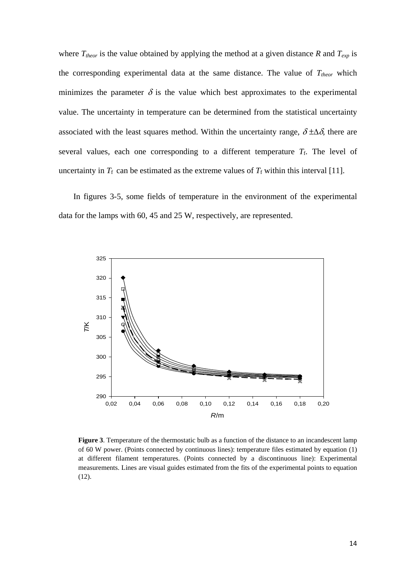where  $T_{theor}$  is the value obtained by applying the method at a given distance  $R$  and  $T_{exp}$  is the corresponding experimental data at the same distance. The value of  $T_{theor}$  which minimizes the parameter  $\delta$  is the value which best approximates to the experimental value. The uncertainty in temperature can be determined from the statistical uncertainty associated with the least squares method. Within the uncertainty range,  $\delta \pm \Delta \delta$ , there are several values, each one corresponding to a different temperature  $T_f$ . The level of uncertainty in  $T_f$  can be estimated as the extreme values of  $T_f$  within this interval [11].

In figures 3-5, some fields of temperature in the environment of the experimental data for the lamps with 60, 45 and 25 W, respectively, are represented.



**Figure 3**. Temperature of the thermostatic bulb as a function of the distance to an incandescent lamp of 60 W power. (Points connected by continuous lines): temperature files estimated by equation (1) at different filament temperatures. (Points connected by a discontinuous line): Experimental measurements. Lines are visual guides estimated from the fits of the experimental points to equation (12).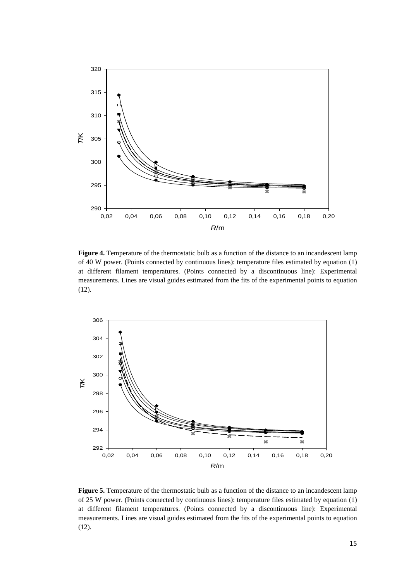

**Figure 4.** Temperature of the thermostatic bulb as a function of the distance to an incandescent lamp of 40 W power. (Points connected by continuous lines): temperature files estimated by equation (1) at different filament temperatures. (Points connected by a discontinuous line): Experimental measurements. Lines are visual guides estimated from the fits of the experimental points to equation (12).



**Figure 5.** Temperature of the thermostatic bulb as a function of the distance to an incandescent lamp of 25 W power. (Points connected by continuous lines): temperature files estimated by equation (1) at different filament temperatures. (Points connected by a discontinuous line): Experimental measurements. Lines are visual guides estimated from the fits of the experimental points to equation (12).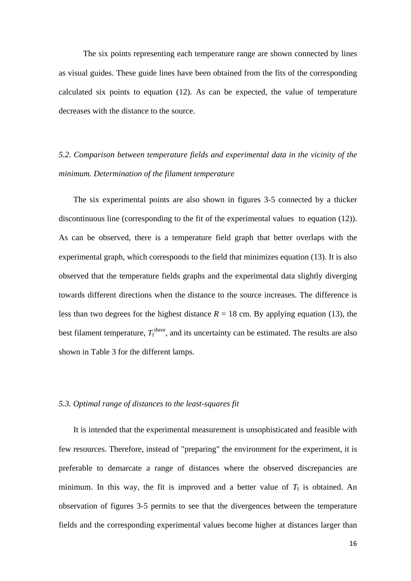The six points representing each temperature range are shown connected by lines as visual guides. These guide lines have been obtained from the fits of the corresponding calculated six points to equation (12). As can be expected, the value of temperature decreases with the distance to the source.

# *5.2. Comparison between temperature fields and experimental data in the vicinity of the minimum. Determination of the filament temperature*

The six experimental points are also shown in figures 3-5 connected by a thicker discontinuous line (corresponding to the fit of the experimental values to equation (12)). As can be observed, there is a temperature field graph that better overlaps with the experimental graph, which corresponds to the field that minimizes equation (13). It is also observed that the temperature fields graphs and the experimental data slightly diverging towards different directions when the distance to the source increases. The difference is less than two degrees for the highest distance  $R = 18$  cm. By applying equation (13), the best filament temperature,  $T_f^{\text{theor}}$ , and its uncertainty can be estimated. The results are also shown in Table 3 for the different lamps.

# *5.3. Optimal range of distances to the least-squares fit*

It is intended that the experimental measurement is unsophisticated and feasible with few resources. Therefore, instead of "preparing" the environment for the experiment, it is preferable to demarcate a range of distances where the observed discrepancies are minimum. In this way, the fit is improved and a better value of  $T_f$  is obtained. An observation of figures 3-5 permits to see that the divergences between the temperature fields and the corresponding experimental values become higher at distances larger than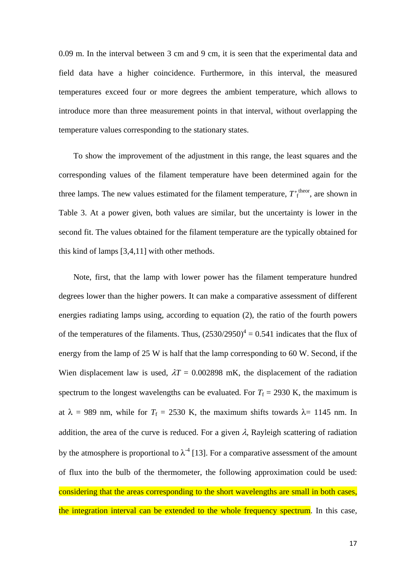0.09 m. In the interval between 3 cm and 9 cm, it is seen that the experimental data and field data have a higher coincidence. Furthermore, in this interval, the measured temperatures exceed four or more degrees the ambient temperature, which allows to introduce more than three measurement points in that interval, without overlapping the temperature values corresponding to the stationary states.

To show the improvement of the adjustment in this range, the least squares and the corresponding values of the filament temperature have been determined again for the three lamps. The new values estimated for the filament temperature,  $T_f^{\text{theor}}$ , are shown in Table 3. At a power given, both values are similar, but the uncertainty is lower in the second fit. The values obtained for the filament temperature are the typically obtained for this kind of lamps [3,4,11] with other methods.

Note, first, that the lamp with lower power has the filament temperature hundred degrees lower than the higher powers. It can make a comparative assessment of different energies radiating lamps using, according to equation (2), the ratio of the fourth powers of the temperatures of the filaments. Thus,  $(2530/2950)^4 = 0.541$  indicates that the flux of energy from the lamp of 25 W is half that the lamp corresponding to 60 W. Second, if the Wien displacement law is used,  $\lambda T = 0.002898$  mK, the displacement of the radiation spectrum to the longest wavelengths can be evaluated. For  $T_f = 2930$  K, the maximum is at  $\lambda = 989$  nm, while for  $T_f = 2530$  K, the maximum shifts towards  $\lambda = 1145$  nm. In addition, the area of the curve is reduced. For a given  $\lambda$ , Rayleigh scattering of radiation by the atmosphere is proportional to  $\lambda^4$  [13]. For a comparative assessment of the amount of flux into the bulb of the thermometer, the following approximation could be used: considering that the areas corresponding to the short wavelengths are small in both cases, the integration interval can be extended to the whole frequency spectrum. In this case,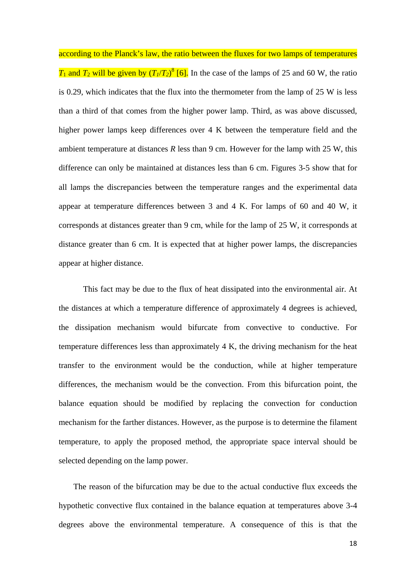according to the Planck's law, the ratio between the fluxes for two lamps of temperatures  $T_1$  and  $T_2$  will be given by  $(T_1/T_2)^8$  [6]. In the case of the lamps of 25 and 60 W, the ratio is 0.29, which indicates that the flux into the thermometer from the lamp of 25 W is less than a third of that comes from the higher power lamp. Third, as was above discussed, higher power lamps keep differences over 4 K between the temperature field and the ambient temperature at distances  $R$  less than  $9$  cm. However for the lamp with 25 W, this difference can only be maintained at distances less than 6 cm. Figures 3-5 show that for all lamps the discrepancies between the temperature ranges and the experimental data appear at temperature differences between 3 and 4 K. For lamps of 60 and 40 W, it corresponds at distances greater than 9 cm, while for the lamp of 25 W, it corresponds at distance greater than 6 cm. It is expected that at higher power lamps, the discrepancies appear at higher distance.

 This fact may be due to the flux of heat dissipated into the environmental air. At the distances at which a temperature difference of approximately 4 degrees is achieved, the dissipation mechanism would bifurcate from convective to conductive. For temperature differences less than approximately 4 K, the driving mechanism for the heat transfer to the environment would be the conduction, while at higher temperature differences, the mechanism would be the convection. From this bifurcation point, the balance equation should be modified by replacing the convection for conduction mechanism for the farther distances. However, as the purpose is to determine the filament temperature, to apply the proposed method, the appropriate space interval should be selected depending on the lamp power.

The reason of the bifurcation may be due to the actual conductive flux exceeds the hypothetic convective flux contained in the balance equation at temperatures above 3-4 degrees above the environmental temperature. A consequence of this is that the

18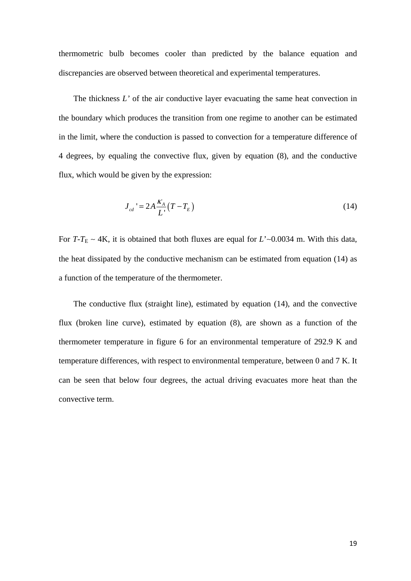thermometric bulb becomes cooler than predicted by the balance equation and discrepancies are observed between theoretical and experimental temperatures.

The thickness *L'* of the air conductive layer evacuating the same heat convection in the boundary which produces the transition from one regime to another can be estimated in the limit, where the conduction is passed to convection for a temperature difference of 4 degrees, by equaling the convective flux, given by equation (8), and the conductive flux, which would be given by the expression:

$$
J_{cd} = 2A \frac{K_A}{L'} (T - T_E)
$$
 (14)

For  $T-T_E \sim 4K$ , it is obtained that both fluxes are equal for  $L' \sim 0.0034$  m. With this data, the heat dissipated by the conductive mechanism can be estimated from equation (14) as a function of the temperature of the thermometer.

The conductive flux (straight line), estimated by equation (14), and the convective flux (broken line curve), estimated by equation (8), are shown as a function of the thermometer temperature in figure 6 for an environmental temperature of 292.9 K and temperature differences, with respect to environmental temperature, between 0 and 7 K. It can be seen that below four degrees, the actual driving evacuates more heat than the convective term.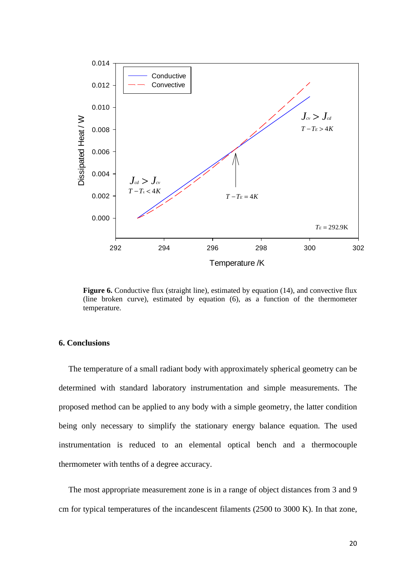

Figure 6. Conductive flux (straight line), estimated by equation (14), and convective flux (line broken curve), estimated by equation (6), as a function of the thermometer temperature.

## **6. Conclusions**

The temperature of a small radiant body with approximately spherical geometry can be determined with standard laboratory instrumentation and simple measurements. The proposed method can be applied to any body with a simple geometry, the latter condition being only necessary to simplify the stationary energy balance equation. The used instrumentation is reduced to an elemental optical bench and a thermocouple thermometer with tenths of a degree accuracy.

The most appropriate measurement zone is in a range of object distances from 3 and 9 cm for typical temperatures of the incandescent filaments (2500 to 3000 K). In that zone,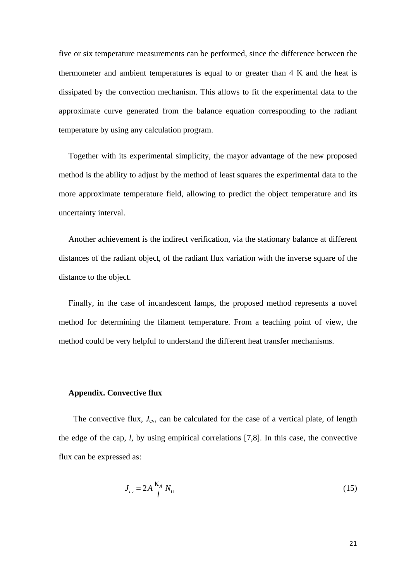five or six temperature measurements can be performed, since the difference between the thermometer and ambient temperatures is equal to or greater than 4 K and the heat is dissipated by the convection mechanism. This allows to fit the experimental data to the approximate curve generated from the balance equation corresponding to the radiant temperature by using any calculation program.

Together with its experimental simplicity, the mayor advantage of the new proposed method is the ability to adjust by the method of least squares the experimental data to the more approximate temperature field, allowing to predict the object temperature and its uncertainty interval.

Another achievement is the indirect verification, via the stationary balance at different distances of the radiant object, of the radiant flux variation with the inverse square of the distance to the object.

Finally, in the case of incandescent lamps, the proposed method represents a novel method for determining the filament temperature. From a teaching point of view, the method could be very helpful to understand the different heat transfer mechanisms.

#### **Appendix. Convective flux**

The convective flux,  $J_{\rm cv}$ , can be calculated for the case of a vertical plate, of length the edge of the cap, *l*, by using empirical correlations [7,8]. In this case, the convective flux can be expressed as:

$$
J_{cv} = 2A \frac{\kappa_A}{l} N_U \tag{15}
$$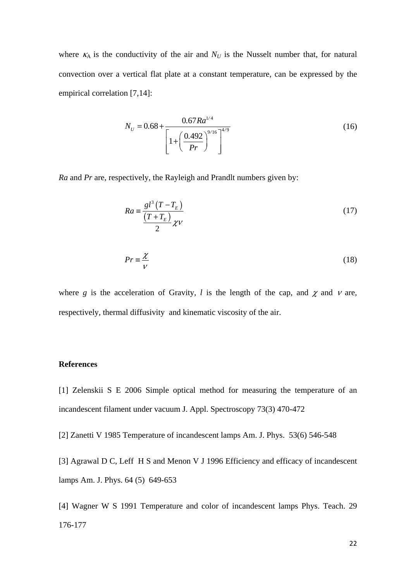where  $K_A$  is the conductivity of the air and  $N_U$  is the Nusselt number that, for natural convection over a vertical flat plate at a constant temperature, can be expressed by the empirical correlation [7,14]:

$$
N_U = 0.68 + \frac{0.67 Ra^{1/4}}{\left[1 + \left(\frac{0.492}{Pr}\right)^{9/16}\right]^{4/9}}
$$
(16)

*Ra* and *Pr* are, respectively, the Rayleigh and Prandlt numbers given by:

$$
Ra \equiv \frac{gl^3\left(T - T_E\right)}{\frac{\left(T + T_E\right)}{2} \chi \nu} \tag{17}
$$

$$
Pr \equiv \frac{\chi}{V} \tag{18}
$$

where g is the acceleration of Gravity,  $l$  is the length of the cap, and  $\chi$  and  $\nu$  are, respectively, thermal diffusivity and kinematic viscosity of the air.

#### **References**

[1] Zelenskii S E 2006 Simple optical method for measuring the temperature of an incandescent filament under vacuum J. Appl. Spectroscopy 73(3) 470-472

[2] Zanetti V 1985 Temperature of incandescent lamps Am. J. Phys. 53(6) 546-548

[3] Agrawal D C, Leff H S and Menon V J 1996 Efficiency and efficacy of incandescent lamps Am. J. Phys. 64 (5) 649-653

[4] Wagner W S 1991 Temperature and color of incandescent lamps Phys. Teach. 29 176-177